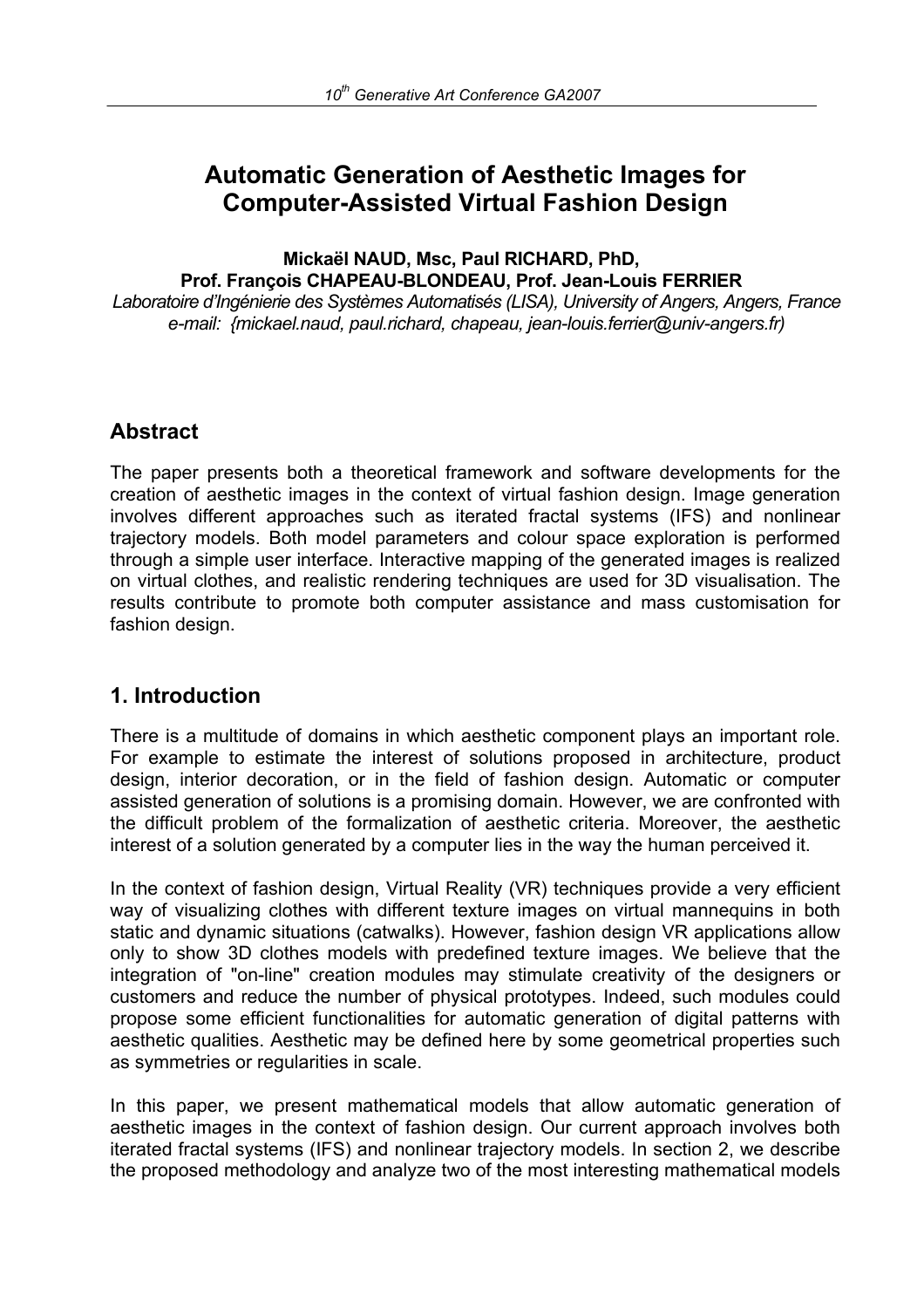# **Automatic Generation of Aesthetic Images for Computer-Assisted Virtual Fashion Design**

**Mickaël NAUD, Msc, Paul RICHARD, PhD, Prof. François CHAPEAU-BLONDEAU, Prof. Jean-Louis FERRIER** 

*Laboratoire d'Ingénierie des Systèmes Automatisés (LISA), University of Angers, Angers, France e-mail: {mickael.naud, paul.richard, chapeau, jean-louis.ferrier@univ-angers.fr)* 

# **Abstract**

The paper presents both a theoretical framework and software developments for the creation of aesthetic images in the context of virtual fashion design. Image generation involves different approaches such as iterated fractal systems (IFS) and nonlinear trajectory models. Both model parameters and colour space exploration is performed through a simple user interface. Interactive mapping of the generated images is realized on virtual clothes, and realistic rendering techniques are used for 3D visualisation. The results contribute to promote both computer assistance and mass customisation for fashion design.

# **1. Introduction**

There is a multitude of domains in which aesthetic component plays an important role. For example to estimate the interest of solutions proposed in architecture, product design, interior decoration, or in the field of fashion design. Automatic or computer assisted generation of solutions is a promising domain. However, we are confronted with the difficult problem of the formalization of aesthetic criteria. Moreover, the aesthetic interest of a solution generated by a computer lies in the way the human perceived it.

In the context of fashion design, Virtual Reality (VR) techniques provide a very efficient way of visualizing clothes with different texture images on virtual mannequins in both static and dynamic situations (catwalks). However, fashion design VR applications allow only to show 3D clothes models with predefined texture images. We believe that the integration of "on-line" creation modules may stimulate creativity of the designers or customers and reduce the number of physical prototypes. Indeed, such modules could propose some efficient functionalities for automatic generation of digital patterns with aesthetic qualities. Aesthetic may be defined here by some geometrical properties such as symmetries or regularities in scale.

In this paper, we present mathematical models that allow automatic generation of aesthetic images in the context of fashion design. Our current approach involves both iterated fractal systems (IFS) and nonlinear trajectory models. In section 2, we describe the proposed methodology and analyze two of the most interesting mathematical models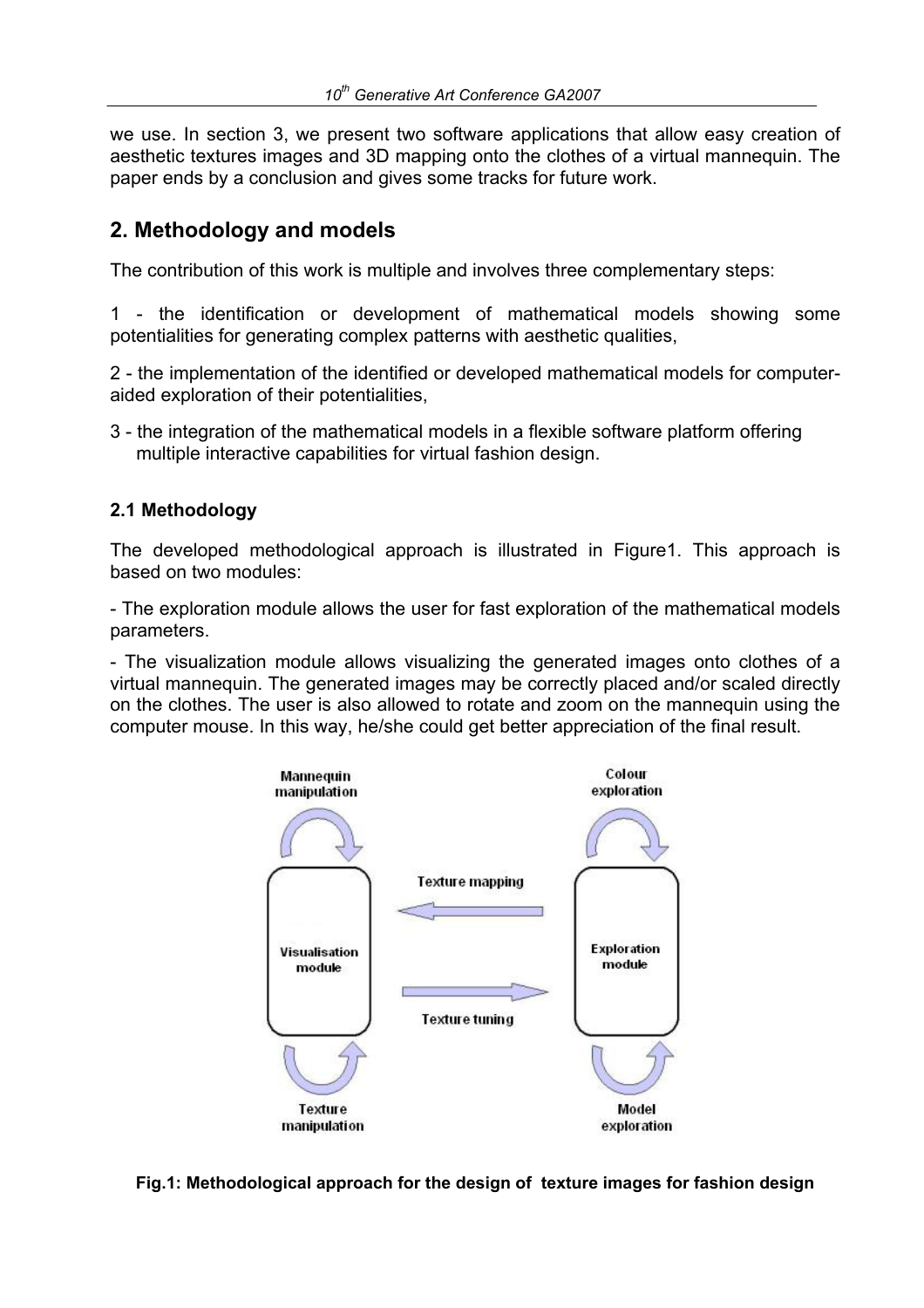we use. In section 3, we present two software applications that allow easy creation of aesthetic textures images and 3D mapping onto the clothes of a virtual mannequin. The paper ends by a conclusion and gives some tracks for future work.

### **2. Methodology and models**

The contribution of this work is multiple and involves three complementary steps:

1 - the identification or development of mathematical models showing some potentialities for generating complex patterns with aesthetic qualities,

2 - the implementation of the identified or developed mathematical models for computeraided exploration of their potentialities,

3 - the integration of the mathematical models in a flexible software platform offering multiple interactive capabilities for virtual fashion design.

#### **2.1 Methodology**

The developed methodological approach is illustrated in Figure1. This approach is based on two modules:

- The exploration module allows the user for fast exploration of the mathematical models parameters.

- The visualization module allows visualizing the generated images onto clothes of a virtual mannequin. The generated images may be correctly placed and/or scaled directly on the clothes. The user is also allowed to rotate and zoom on the mannequin using the computer mouse. In this way, he/she could get better appreciation of the final result.



**Fig.1: Methodological approach for the design of texture images for fashion design**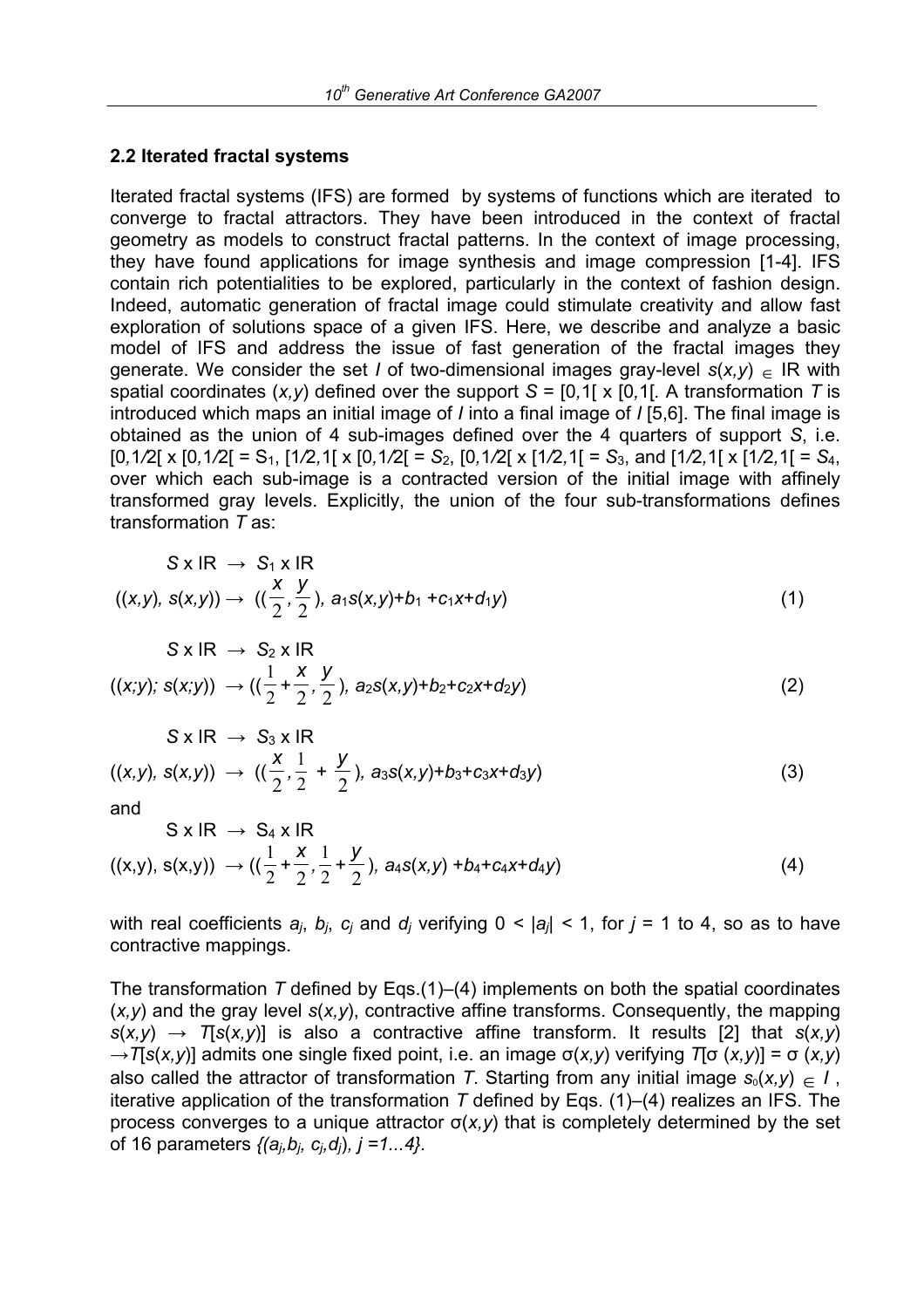#### **2.2 Iterated fractal systems**

Iterated fractal systems (IFS) are formed by systems of functions which are iterated to converge to fractal attractors. They have been introduced in the context of fractal geometry as models to construct fractal patterns. In the context of image processing, they have found applications for image synthesis and image compression [1-4]. IFS contain rich potentialities to be explored, particularly in the context of fashion design. Indeed, automatic generation of fractal image could stimulate creativity and allow fast exploration of solutions space of a given IFS. Here, we describe and analyze a basic model of IFS and address the issue of fast generation of the fractal images they generate. We consider the set *I* of two-dimensional images grav-level  $s(x, y) \in \mathbb{R}$  with spatial coordinates (*x,y*) defined over the support *S* = [0*,*1[ x [0*,*1[*.* A transformation *T* is introduced which maps an initial image of *I* into a final image of *I* [5,6]. The final image is obtained as the union of 4 sub-images defined over the 4 quarters of support *S*, i.e.  $[0,1/2]$  x  $[0,1/2]$  = S<sub>1</sub>,  $[1/2,1]$  x  $[0,1/2]$  = S<sub>2</sub>,  $[0,1/2]$  x  $[1/2,1]$  = S<sub>3</sub>, and  $[1/2,1]$  x  $[1/2,1]$  = S<sub>4</sub>, over which each sub-image is a contracted version of the initial image with affinely transformed gray levels. Explicitly, the union of the four sub-transformations defines transformation *T* as:

$$
S \times IR \rightarrow S_1 \times IR
$$
  

$$
((x,y), s(x,y)) \rightarrow ((\frac{x}{2}, \frac{y}{2}), a_1s(x,y)+b_1+c_1x+d_1y)
$$
 (1)

$$
S \times IR \rightarrow S_2 \times IR
$$
  

$$
((x,y); s(x,y)) \rightarrow ((\frac{1}{2} + \frac{x}{2}, \frac{y}{2}), a_2s(x,y)+b_2+c_2x+d_2y)
$$
 (2)

$$
S \times IR \rightarrow S_3 \times IR
$$
  

$$
((x,y), s(x,y)) \rightarrow ((\frac{x}{2}, \frac{1}{2} + \frac{y}{2}), a_3s(x,y)+b_3+c_3x+d_3y)
$$
 (3)

and

$$
S \times IR \rightarrow S_4 \times IR
$$
  

$$
((x,y), s(x,y)) \rightarrow ((\frac{1}{2} + \frac{x}{2}, \frac{1}{2} + \frac{y}{2}), a_4s(x,y) + b_4+c_4x+d_4y)
$$
 (4)

with real coefficients  $a_i$ ,  $b_i$ ,  $c_i$  and  $d_i$  verifying  $0 \le |a_i| \le 1$ , for  $j = 1$  to 4, so as to have contractive mappings.

The transformation *T* defined by Eqs.(1)–(4) implements on both the spatial coordinates (*x,y*) and the gray level *s*(*x,y*), contractive affine transforms. Consequently, the mapping *s*(*x,y*) *→ T*[*s*(*x,y*)] is also a contractive affine transform. It results [2] that *s*(*x,y*) *→T*[*s*(*x,y*)] admits one single fixed point, i.e. an image σ(*x,y*) verifying *T*[σ (*x,y*)] = σ (*x,y*) also called the attractor of transformation *T*. Starting from any initial image  $s_0(x,y) \in I$ , iterative application of the transformation *T* defined by Eqs. (1)–(4) realizes an IFS. The process converges to a unique attractor σ(*x,y*) that is completely determined by the set of 16 parameters *{(aj,bj, cj,dj*)*, j =1...4}.*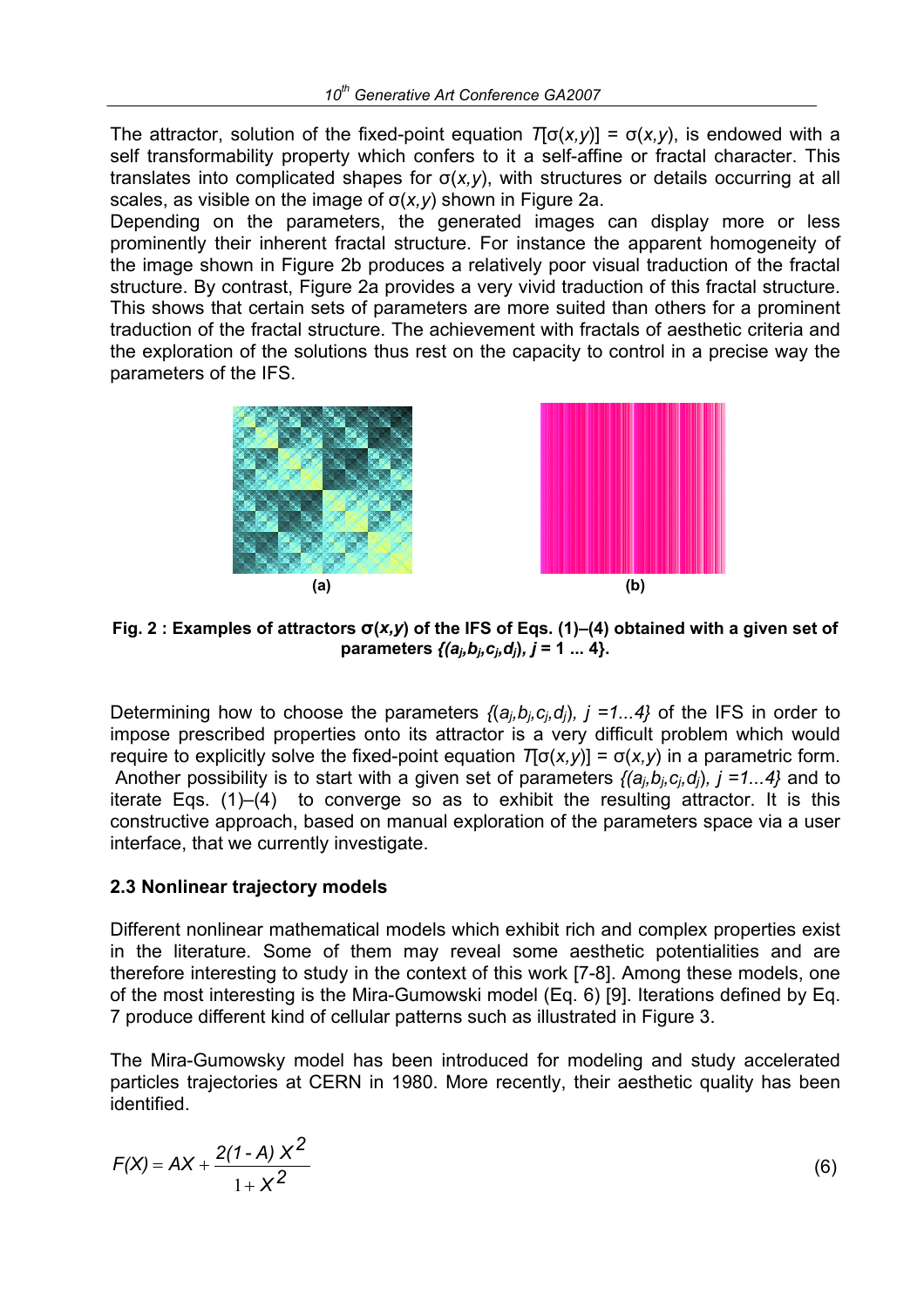The attractor, solution of the fixed-point equation *T*[σ(*x,y*)] = σ(*x,y*), is endowed with a self transformability property which confers to it a self-affine or fractal character. This translates into complicated shapes for σ(*x,y*), with structures or details occurring at all scales, as visible on the image of σ(*x,y*) shown in Figure 2a.

Depending on the parameters, the generated images can display more or less prominently their inherent fractal structure. For instance the apparent homogeneity of the image shown in Figure 2b produces a relatively poor visual traduction of the fractal structure. By contrast, Figure 2a provides a very vivid traduction of this fractal structure. This shows that certain sets of parameters are more suited than others for a prominent traduction of the fractal structure. The achievement with fractals of aesthetic criteria and the exploration of the solutions thus rest on the capacity to control in a precise way the parameters of the IFS.





**Fig. 2 : Examples of attractors σ(***x,y***) of the IFS of Eqs. (1)–(4) obtained with a given set of parameters**  $\{(a_i, b_i, c_i, d_i), j = 1, ..., 4\}$ .

Determining how to choose the parameters *{*(*aj,bj,cj,dj*)*, j =1...4}* of the IFS in order to impose prescribed properties onto its attractor is a very difficult problem which would require to explicitly solve the fixed-point equation *T*[σ(*x,y*)] = σ(*x,y*) in a parametric form. Another possibility is to start with a given set of parameters *{(aj,bj,cj,dj*)*, j =1...4}* and to iterate Eqs. (1)–(4) to converge so as to exhibit the resulting attractor. It is this constructive approach, based on manual exploration of the parameters space via a user interface, that we currently investigate.

#### **2.3 Nonlinear trajectory models**

Different nonlinear mathematical models which exhibit rich and complex properties exist in the literature. Some of them may reveal some aesthetic potentialities and are therefore interesting to study in the context of this work [7-8]. Among these models, one of the most interesting is the Mira-Gumowski model (Eq. 6) [9]. Iterations defined by Eq. 7 produce different kind of cellular patterns such as illustrated in Figure 3.

The Mira-Gumowsky model has been introduced for modeling and study accelerated particles trajectories at CERN in 1980. More recently, their aesthetic quality has been identified.

$$
F(X) = AX + \frac{2(1-A)X^2}{1+X^2}
$$
 (6)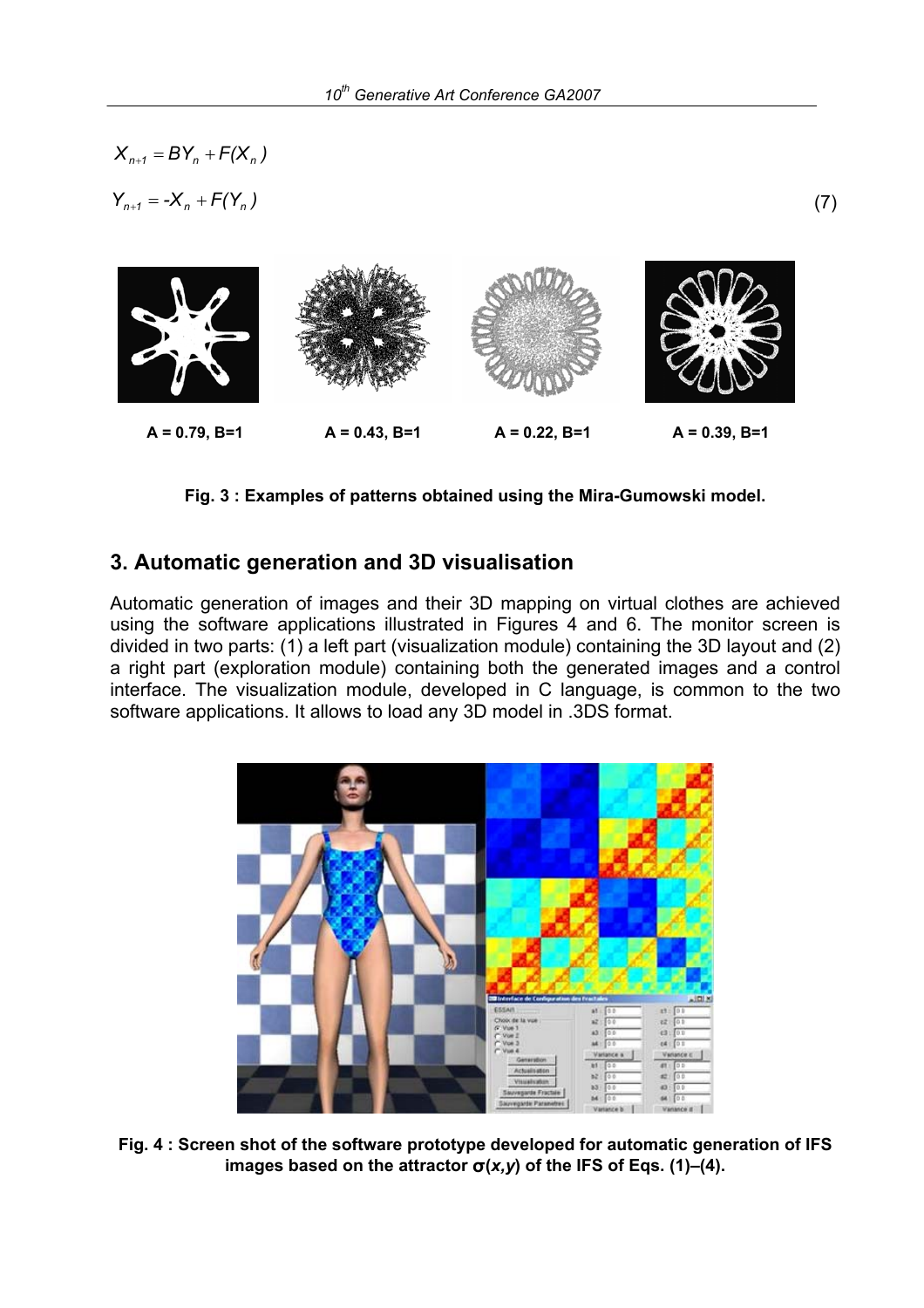$$
X_{n+1} = BY_n + F(X_n)
$$
  
\n $Y_{n+1} = -X_n + F(Y_n)$  (7)  
\n $X_{n+2} = -X_n + F(Y_n)$  (7)  
\n $X_n = 0.79, B = 1$  (8)

**Fig. 3 : Examples of patterns obtained using the Mira-Gumowski model.** 

### **3. Automatic generation and 3D visualisation**

Automatic generation of images and their 3D mapping on virtual clothes are achieved using the software applications illustrated in Figures 4 and 6. The monitor screen is divided in two parts: (1) a left part (visualization module) containing the 3D layout and (2) a right part (exploration module) containing both the generated images and a control interface. The visualization module, developed in C language, is common to the two software applications. It allows to load any 3D model in .3DS format.



**Fig. 4 : Screen shot of the software prototype developed for automatic generation of IFS images based on the attractor**  $\sigma$ **(***x,y***) of the IFS of Eqs. (1)–(4).**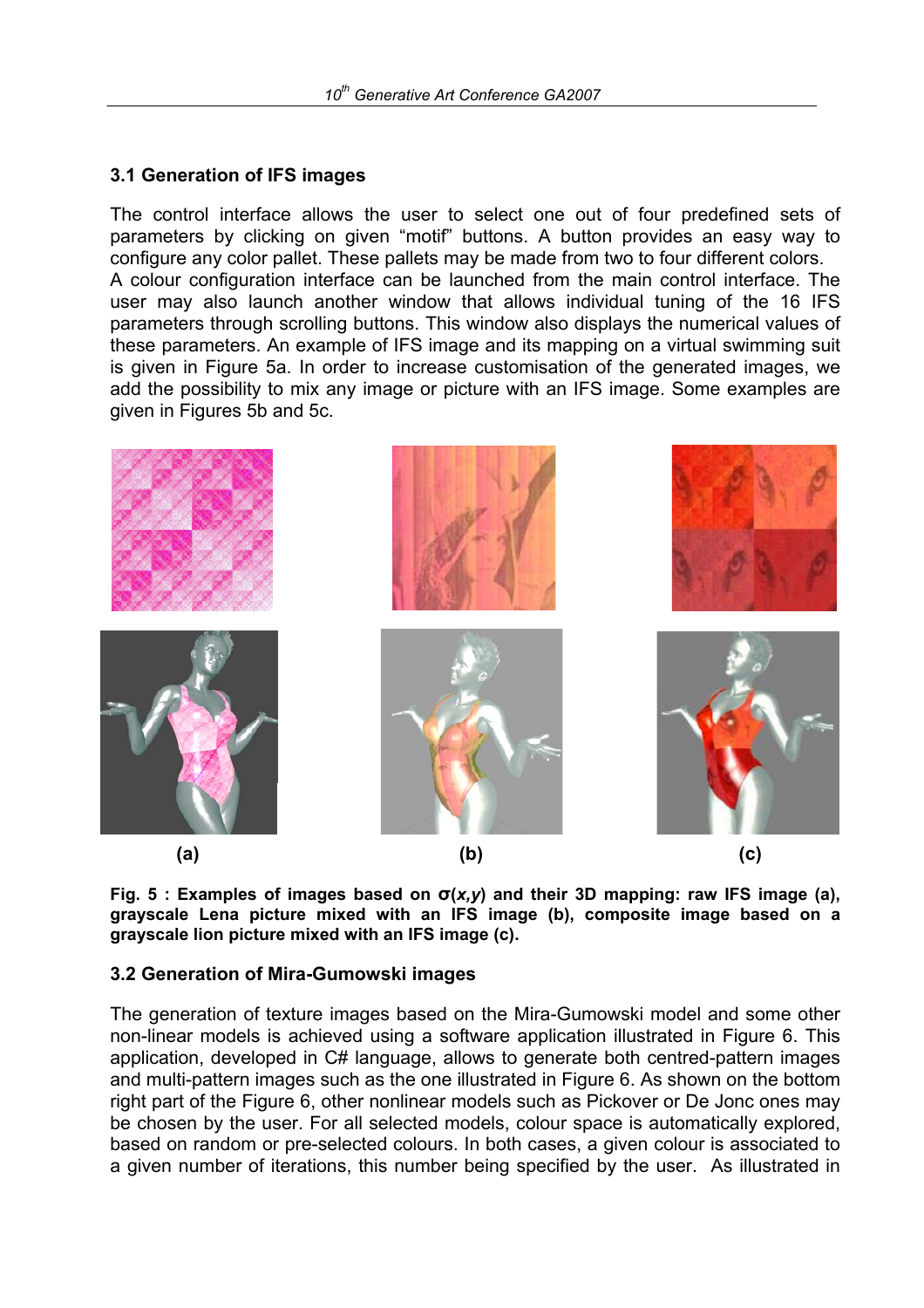#### **3.1 Generation of IFS images**

The control interface allows the user to select one out of four predefined sets of parameters by clicking on given "motif" buttons. A button provides an easy way to configure any color pallet. These pallets may be made from two to four different colors. A colour configuration interface can be launched from the main control interface. The user may also launch another window that allows individual tuning of the 16 IFS parameters through scrolling buttons. This window also displays the numerical values of these parameters. An example of IFS image and its mapping on a virtual swimming suit is given in Figure 5a. In order to increase customisation of the generated images, we add the possibility to mix any image or picture with an IFS image. Some examples are given in Figures 5b and 5c.



**Fig. 5 : Examples of images based on σ(***x,y***) and their 3D mapping: raw IFS image (a), grayscale Lena picture mixed with an IFS image (b), composite image based on a grayscale lion picture mixed with an IFS image (c).**

#### **3.2 Generation of Mira-Gumowski images**

The generation of texture images based on the Mira-Gumowski model and some other non-linear models is achieved using a software application illustrated in Figure 6. This application, developed in C# language, allows to generate both centred-pattern images and multi-pattern images such as the one illustrated in Figure 6. As shown on the bottom right part of the Figure 6, other nonlinear models such as Pickover or De Jonc ones may be chosen by the user. For all selected models, colour space is automatically explored, based on random or pre-selected colours. In both cases, a given colour is associated to a given number of iterations, this number being specified by the user. As illustrated in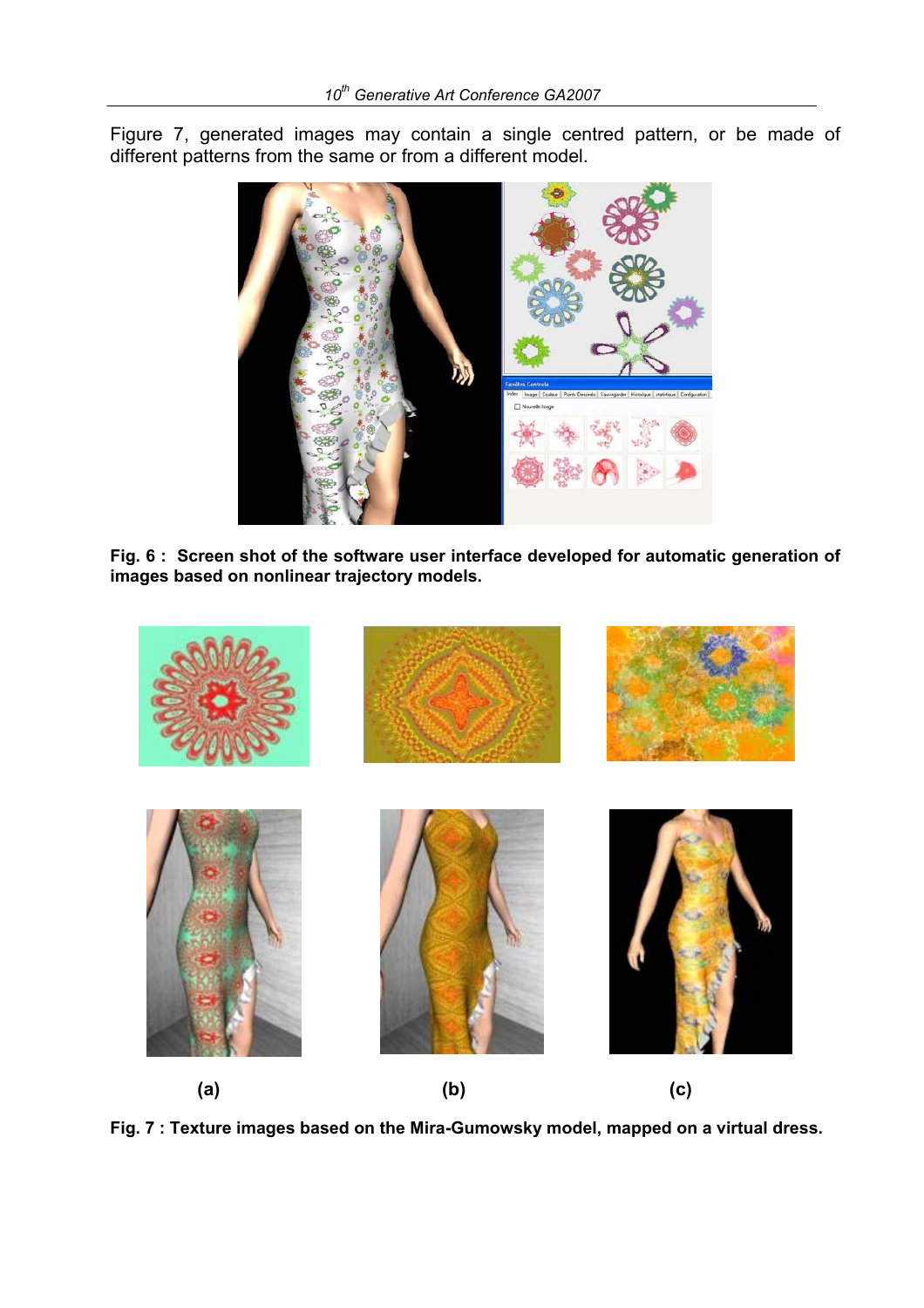Figure 7, generated images may contain a single centred pattern, or be made of different patterns from the same or from a different model.



**Fig. 6 : Screen shot of the software user interface developed for automatic generation of images based on nonlinear trajectory models.**



**Fig. 7 : Texture images based on the Mira-Gumowsky model, mapped on a virtual dress.**